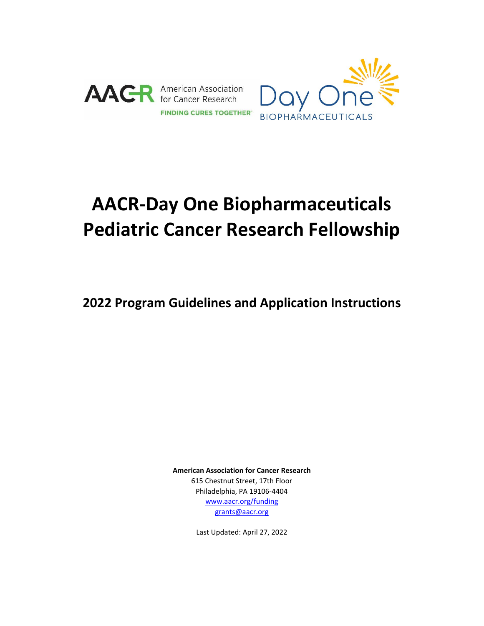



# **AACR-Day One Biopharmaceuticals Pediatric Cancer Research Fellowship**

**2022 Program Guidelines and Application Instructions**

**American Association for Cancer Research** 615 Chestnut Street, 17th Floor Philadelphia, PA 19106-4404 [www.aacr.org/funding](http://www.aacr.org/funding) [grants@aacr.org](mailto:grants@aacr.org)

Last Updated: April 27, 2022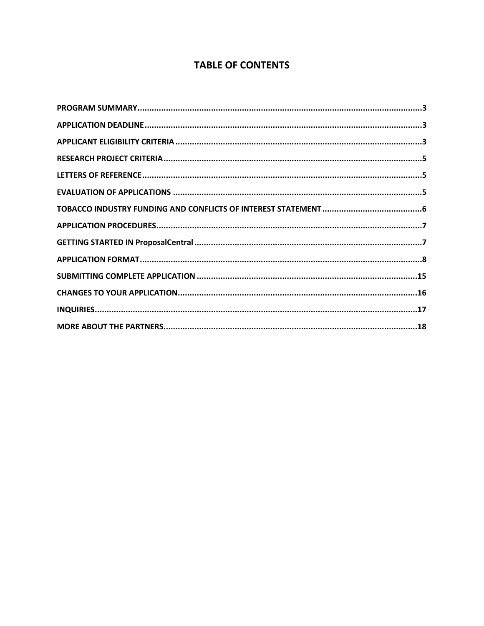# **TABLE OF CONTENTS**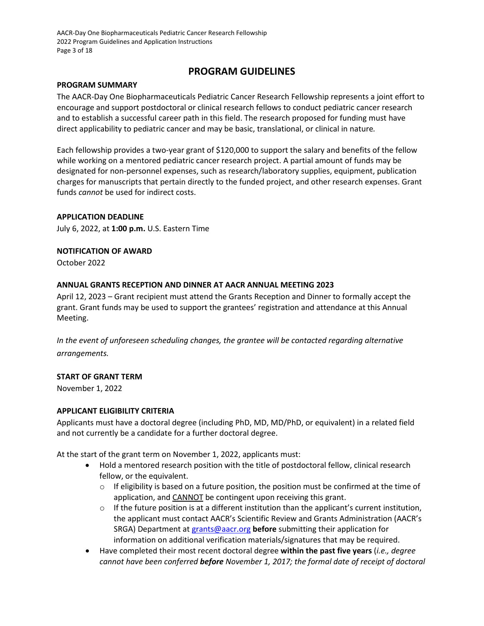AACR-Day One Biopharmaceuticals Pediatric Cancer Research Fellowship 2022 Program Guidelines and Application Instructions Page 3 of 18

# **PROGRAM GUIDELINES**

#### <span id="page-2-0"></span>**PROGRAM SUMMARY**

The AACR-Day One Biopharmaceuticals Pediatric Cancer Research Fellowship represents a joint effort to encourage and support postdoctoral or clinical research fellows to conduct pediatric cancer research and to establish a successful career path in this field. The research proposed for funding must have direct applicability to pediatric cancer and may be basic, translational, or clinical in nature*.*

Each fellowship provides a two-year grant of \$120,000 to support the salary and benefits of the fellow while working on a mentored pediatric cancer research project. A partial amount of funds may be designated for non-personnel expenses, such as research/laboratory supplies, equipment, publication charges for manuscripts that pertain directly to the funded project, and other research expenses. Grant funds *cannot* be used for indirect costs.

#### <span id="page-2-1"></span>**APPLICATION DEADLINE**

July 6, 2022, at **1:00 p.m.** U.S. Eastern Time

**NOTIFICATION OF AWARD**

October 2022

#### **ANNUAL GRANTS RECEPTION AND DINNER AT AACR ANNUAL MEETING 2023**

April 12, 2023 – Grant recipient must attend the Grants Reception and Dinner to formally accept the grant. Grant funds may be used to support the grantees' registration and attendance at this Annual Meeting.

*In the event of unforeseen scheduling changes, the grantee will be contacted regarding alternative arrangements.*

#### **START OF GRANT TERM**

November 1, 2022

#### <span id="page-2-2"></span>**APPLICANT ELIGIBILITY CRITERIA**

Applicants must have a doctoral degree (including PhD, MD, MD/PhD, or equivalent) in a related field and not currently be a candidate for a further doctoral degree.

At the start of the grant term on November 1, 2022, applicants must:

- Hold a mentored research position with the title of postdoctoral fellow, clinical research fellow, or the equivalent.
	- $\circ$  If eligibility is based on a future position, the position must be confirmed at the time of application, and CANNOT be contingent upon receiving this grant.
	- $\circ$  If the future position is at a different institution than the applicant's current institution, the applicant must contact AACR's Scientific Review and Grants Administration (AACR's SRGA) Department a[t grants@aacr.org](mailto:grants@aacr.org) **before** submitting their application for information on additional verification materials/signatures that may be required.
- Have completed their most recent doctoral degree **within the past five years** (*i.e., degree cannot have been conferred before November 1, 2017; the formal date of receipt of doctoral*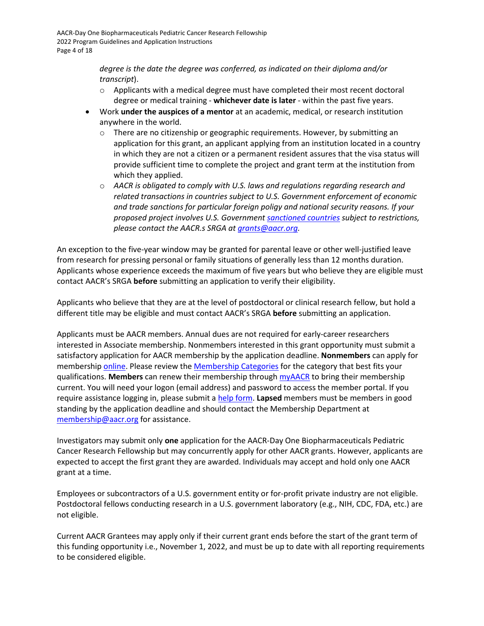*degree is the date the degree was conferred, as indicated on their diploma and/or transcript*).

- $\circ$  Applicants with a medical degree must have completed their most recent doctoral degree or medical training - **whichever date is later** - within the past five years.
- Work **under the auspices of a mentor** at an academic, medical, or research institution anywhere in the world.
	- o There are no citizenship or geographic requirements. However, by submitting an application for this grant, an applicant applying from an institution located in a country in which they are not a citizen or a permanent resident assures that the visa status will provide sufficient time to complete the project and grant term at the institution from which they applied.
	- o *AACR is obligated to comply with U.S. laws and regulations regarding research and related transactions in countries subject to U.S. Government enforcement of economic and trade sanctions for particular foreign poligy and national security reasons. If your proposed project involves U.S. Government [sanctioned countries](https://home.treasury.gov/policy-issues/financial-sanctions/sanctions-programs-and-country-information) subject to restrictions, please contact the AACR.s SRGA a[t grants@aacr.org.](https://aacr615.sharepoint.com/sites/SRGA/Private/Grants/03.%20Mentored%20Grants/2021-2022%20Mentored%20Grants/AZ%20Ovarian%20Fellowships/01.%20Application%20Materials/grants@aacr.org)*

An exception to the five-year window may be granted for parental leave or other well-justified leave from research for pressing personal or family situations of generally less than 12 months duration. Applicants whose experience exceeds the maximum of five years but who believe they are eligible must contact AACR's SRGA **before** submitting an application to verify their eligibility.

Applicants who believe that they are at the level of postdoctoral or clinical research fellow, but hold a different title may be eligible and must contact AACR's SRGA **before** submitting an application.

Applicants must be AACR members. Annual dues are not required for early-career researchers interested in Associate membership. Nonmembers interested in this grant opportunity must submit a satisfactory application for AACR membership by the application deadline. **Nonmembers** can apply for membership [online.](https://myaacr.aacr.org/) Please review the [Membership Categories](https://www.aacr.org/professionals/membership/become-a-member/membership-categories/) for the category that best fits your qualifications. **Members** can renew their membership throug[h myAACR](https://myaacr.aacr.org/) to bring their membership current. You will need your logon (email address) and password to access the member portal. If you require assistance logging in, please submit a [help form.](https://myaacr.aacr.org/myAACRHelp) **Lapsed** members must be members in good standing by the application deadline and should contact the Membership Department at [membership@aacr.org](mailto:membership@aacr.org) for assistance.

Investigators may submit only **one** application for the AACR-Day One Biopharmaceuticals Pediatric Cancer Research Fellowship but may concurrently apply for other AACR grants. However, applicants are expected to accept the first grant they are awarded. Individuals may accept and hold only one AACR grant at a time.

Employees or subcontractors of a U.S. government entity or for-profit private industry are not eligible. Postdoctoral fellows conducting research in a U.S. government laboratory (e.g., NIH, CDC, FDA, etc.) are not eligible.

Current AACR Grantees may apply only if their current grant ends before the start of the grant term of this funding opportunity i.e., November 1, 2022, and must be up to date with all reporting requirements to be considered eligible.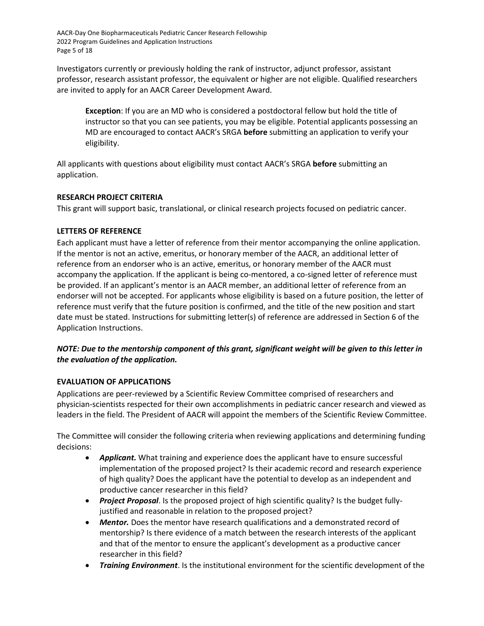AACR-Day One Biopharmaceuticals Pediatric Cancer Research Fellowship 2022 Program Guidelines and Application Instructions Page 5 of 18

Investigators currently or previously holding the rank of instructor, adjunct professor, assistant professor, research assistant professor, the equivalent or higher are not eligible. Qualified researchers are invited to apply for an AACR Career Development Award.

**Exception**: If you are an MD who is considered a postdoctoral fellow but hold the title of instructor so that you can see patients, you may be eligible. Potential applicants possessing an MD are encouraged to contact AACR's SRGA **before** submitting an application to verify your eligibility.

All applicants with questions about eligibility must contact AACR's SRGA **before** submitting an application.

#### <span id="page-4-0"></span>**RESEARCH PROJECT CRITERIA**

This grant will support basic, translational, or clinical research projects focused on pediatric cancer.

## <span id="page-4-1"></span>**LETTERS OF REFERENCE**

Each applicant must have a letter of reference from their mentor accompanying the online application. If the mentor is not an active, emeritus, or honorary member of the AACR, an additional letter of reference from an endorser who is an active, emeritus, or honorary member of the AACR must accompany the application. If the applicant is being co-mentored, a co-signed letter of reference must be provided. If an applicant's mentor is an AACR member, an additional letter of reference from an endorser will not be accepted. For applicants whose eligibility is based on a future position, the letter of reference must verify that the future position is confirmed, and the title of the new position and start date must be stated. Instructions for submitting letter(s) of reference are addressed in Section 6 of the Application Instructions.

# *NOTE: Due to the mentorship component of this grant, significant weight will be given to this letter in the evaluation of the application.*

# <span id="page-4-2"></span>**EVALUATION OF APPLICATIONS**

Applications are peer-reviewed by a Scientific Review Committee comprised of researchers and physician-scientists respected for their own accomplishments in pediatric cancer research and viewed as leaders in the field. The President of AACR will appoint the members of the Scientific Review Committee.

The Committee will consider the following criteria when reviewing applications and determining funding decisions:

- Applicant. What training and experience does the applicant have to ensure successful implementation of the proposed project? Is their academic record and research experience of high quality? Does the applicant have the potential to develop as an independent and productive cancer researcher in this field?
- *Project Proposal*. Is the proposed project of high scientific quality? Is the budget fullyjustified and reasonable in relation to the proposed project?
- **Mentor.** Does the mentor have research qualifications and a demonstrated record of mentorship? Is there evidence of a match between the research interests of the applicant and that of the mentor to ensure the applicant's development as a productive cancer researcher in this field?
- *Training Environment*. Is the institutional environment for the scientific development of the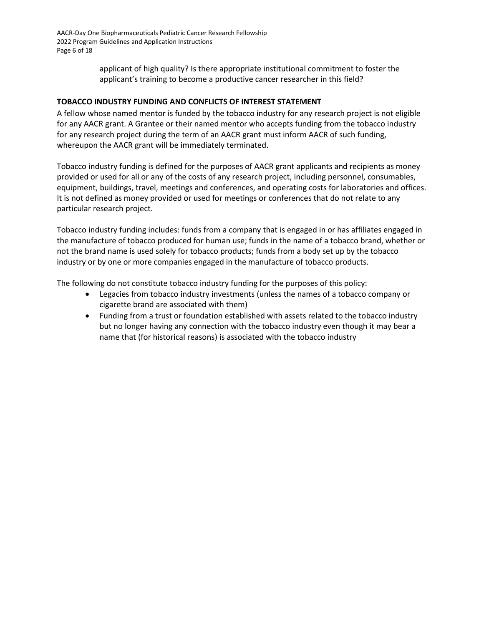AACR-Day One Biopharmaceuticals Pediatric Cancer Research Fellowship 2022 Program Guidelines and Application Instructions Page 6 of 18

> applicant of high quality? Is there appropriate institutional commitment to foster the applicant's training to become a productive cancer researcher in this field?

## <span id="page-5-0"></span>**TOBACCO INDUSTRY FUNDING AND CONFLICTS OF INTEREST STATEMENT**

A fellow whose named mentor is funded by the tobacco industry for any research project is not eligible for any AACR grant. A Grantee or their named mentor who accepts funding from the tobacco industry for any research project during the term of an AACR grant must inform AACR of such funding, whereupon the AACR grant will be immediately terminated.

Tobacco industry funding is defined for the purposes of AACR grant applicants and recipients as money provided or used for all or any of the costs of any research project, including personnel, consumables, equipment, buildings, travel, meetings and conferences, and operating costs for laboratories and offices. It is not defined as money provided or used for meetings or conferences that do not relate to any particular research project.

Tobacco industry funding includes: funds from a company that is engaged in or has affiliates engaged in the manufacture of tobacco produced for human use; funds in the name of a tobacco brand, whether or not the brand name is used solely for tobacco products; funds from a body set up by the tobacco industry or by one or more companies engaged in the manufacture of tobacco products.

The following do not constitute tobacco industry funding for the purposes of this policy:

- Legacies from tobacco industry investments (unless the names of a tobacco company or cigarette brand are associated with them)
- Funding from a trust or foundation established with assets related to the tobacco industry but no longer having any connection with the tobacco industry even though it may bear a name that (for historical reasons) is associated with the tobacco industry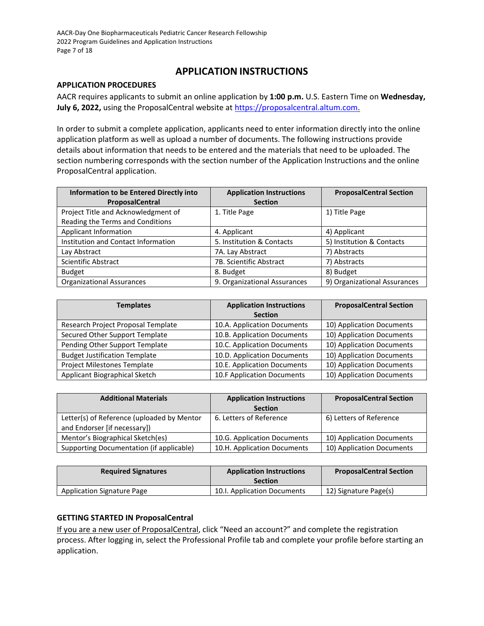# **APPLICATION INSTRUCTIONS**

#### <span id="page-6-0"></span>**APPLICATION PROCEDURES**

AACR requires applicants to submit an online application by **1:00 p.m.** U.S. Eastern Time on **Wednesday, July 6, 2022,** using the ProposalCentral website at [https://proposalcentral.altum.com.](https://proposalcentral.altum.com/)

In order to submit a complete application, applicants need to enter information directly into the online application platform as well as upload a number of documents. The following instructions provide details about information that needs to be entered and the materials that need to be uploaded. The section numbering corresponds with the section number of the Application Instructions and the online ProposalCentral application.

| Information to be Entered Directly into<br>ProposalCentral              | <b>Application Instructions</b><br><b>Section</b> | <b>ProposalCentral Section</b> |
|-------------------------------------------------------------------------|---------------------------------------------------|--------------------------------|
| Project Title and Acknowledgment of<br>Reading the Terms and Conditions | 1. Title Page                                     | 1) Title Page                  |
| Applicant Information                                                   | 4. Applicant                                      | 4) Applicant                   |
| Institution and Contact Information                                     | 5. Institution & Contacts                         | 5) Institution & Contacts      |
| Lay Abstract                                                            | 7A. Lay Abstract                                  | 7) Abstracts                   |
| <b>Scientific Abstract</b>                                              | 7B. Scientific Abstract                           | 7) Abstracts                   |
| <b>Budget</b>                                                           | 8. Budget                                         | 8) Budget                      |
| <b>Organizational Assurances</b>                                        | 9. Organizational Assurances                      | 9) Organizational Assurances   |

| <b>Templates</b>                     | <b>Application Instructions</b> | <b>ProposalCentral Section</b> |
|--------------------------------------|---------------------------------|--------------------------------|
|                                      | <b>Section</b>                  |                                |
| Research Project Proposal Template   | 10.A. Application Documents     | 10) Application Documents      |
| Secured Other Support Template       | 10.B. Application Documents     | 10) Application Documents      |
| Pending Other Support Template       | 10.C. Application Documents     | 10) Application Documents      |
| <b>Budget Justification Template</b> | 10.D. Application Documents     | 10) Application Documents      |
| Project Milestones Template          | 10.E. Application Documents     | 10) Application Documents      |
| Applicant Biographical Sketch        | 10.F Application Documents      | 10) Application Documents      |

| <b>Additional Materials</b>                                                | <b>Application Instructions</b> | <b>ProposalCentral Section</b> |
|----------------------------------------------------------------------------|---------------------------------|--------------------------------|
|                                                                            | <b>Section</b>                  |                                |
| Letter(s) of Reference (uploaded by Mentor<br>and Endorser [if necessary]) | 6. Letters of Reference         | 6) Letters of Reference        |
| Mentor's Biographical Sketch(es)                                           | 10.G. Application Documents     | 10) Application Documents      |
| Supporting Documentation (if applicable)                                   | 10.H. Application Documents     | 10) Application Documents      |

| <b>Required Signatures</b>        | <b>Application Instructions</b><br><b>Section</b> | <b>ProposalCentral Section</b> |
|-----------------------------------|---------------------------------------------------|--------------------------------|
| <b>Application Signature Page</b> | 10.I. Application Documents                       | 12) Signature Page(s)          |

#### <span id="page-6-1"></span>**GETTING STARTED IN ProposalCentral**

If you are a new user of ProposalCentral, click "Need an account?" and complete the registration process. After logging in, select the Professional Profile tab and complete your profile before starting an application.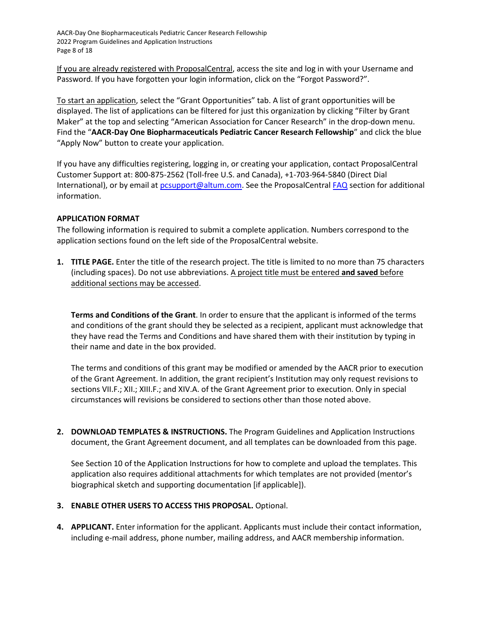AACR-Day One Biopharmaceuticals Pediatric Cancer Research Fellowship 2022 Program Guidelines and Application Instructions Page 8 of 18

If you are already registered with ProposalCentral, access the site and log in with your Username and Password. If you have forgotten your login information, click on the "Forgot Password?".

To start an application, select the "Grant Opportunities" tab. A list of grant opportunities will be displayed. The list of applications can be filtered for just this organization by clicking "Filter by Grant Maker" at the top and selecting "American Association for Cancer Research" in the drop-down menu. Find the "**AACR-Day One Biopharmaceuticals Pediatric Cancer Research Fellowship**" and click the blue "Apply Now" button to create your application.

If you have any difficulties registering, logging in, or creating your application, contact ProposalCentral Customer Support at: 800-875-2562 (Toll-free U.S. and Canada), +1-703-964-5840 (Direct Dial International), or by email a[t pcsupport@altum.com.](mailto:pcsupport@altum.com) See the ProposalCentral [FAQ](https://proposalcentral.altum.com/FAQ/FrequentlyAskedQuestions.asp) section for additional information.

#### <span id="page-7-0"></span>**APPLICATION FORMAT**

The following information is required to submit a complete application. Numbers correspond to the application sections found on the left side of the ProposalCentral website.

**1. TITLE PAGE.** Enter the title of the research project. The title is limited to no more than 75 characters (including spaces). Do not use abbreviations. A project title must be entered **and saved** before additional sections may be accessed.

**Terms and Conditions of the Grant**. In order to ensure that the applicant is informed of the terms and conditions of the grant should they be selected as a recipient, applicant must acknowledge that they have read the Terms and Conditions and have shared them with their institution by typing in their name and date in the box provided.

The terms and conditions of this grant may be modified or amended by the AACR prior to execution of the Grant Agreement. In addition, the grant recipient's Institution may only request revisions to sections VII.F.; XII.; XIII.F.; and XIV.A. of the Grant Agreement prior to execution. Only in special circumstances will revisions be considered to sections other than those noted above.

**2. DOWNLOAD TEMPLATES & INSTRUCTIONS.** The Program Guidelines and Application Instructions document, the Grant Agreement document, and all templates can be downloaded from this page.

See Section 10 of the Application Instructions for how to complete and upload the templates. This application also requires additional attachments for which templates are not provided (mentor's biographical sketch and supporting documentation [if applicable]).

#### **3. ENABLE OTHER USERS TO ACCESS THIS PROPOSAL.** Optional.

**4. APPLICANT.** Enter information for the applicant. Applicants must include their contact information, including e-mail address, phone number, mailing address, and AACR membership information.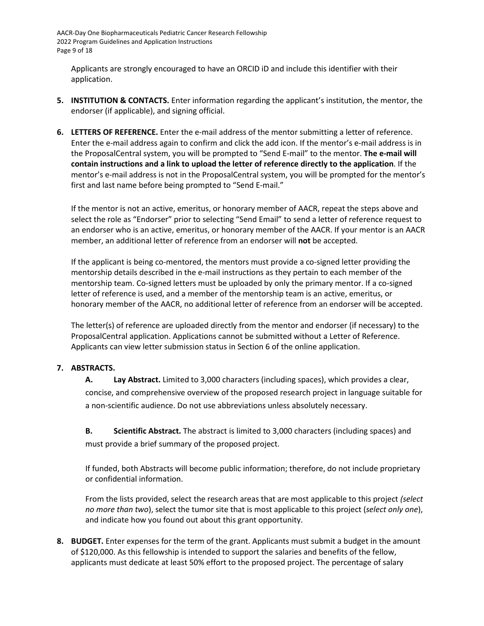AACR-Day One Biopharmaceuticals Pediatric Cancer Research Fellowship 2022 Program Guidelines and Application Instructions Page 9 of 18

Applicants are strongly encouraged to have an ORCID iD and include this identifier with their application.

- **5. INSTITUTION & CONTACTS.** Enter information regarding the applicant's institution, the mentor, the endorser (if applicable), and signing official.
- **6. LETTERS OF REFERENCE.** Enter the e-mail address of the mentor submitting a letter of reference. Enter the e-mail address again to confirm and click the add icon. If the mentor's e-mail address is in the ProposalCentral system, you will be prompted to "Send E-mail" to the mentor. **The e-mail will contain instructions and a link to upload the letter of reference directly to the application**. If the mentor's e-mail address is not in the ProposalCentral system, you will be prompted for the mentor's first and last name before being prompted to "Send E-mail."

If the mentor is not an active, emeritus, or honorary member of AACR, repeat the steps above and select the role as "Endorser" prior to selecting "Send Email" to send a letter of reference request to an endorser who is an active, emeritus, or honorary member of the AACR. If your mentor is an AACR member, an additional letter of reference from an endorser will **not** be accepted.

If the applicant is being co-mentored, the mentors must provide a co-signed letter providing the mentorship details described in the e-mail instructions as they pertain to each member of the mentorship team. Co-signed letters must be uploaded by only the primary mentor. If a co-signed letter of reference is used, and a member of the mentorship team is an active, emeritus, or honorary member of the AACR, no additional letter of reference from an endorser will be accepted.

The letter(s) of reference are uploaded directly from the mentor and endorser (if necessary) to the ProposalCentral application. Applications cannot be submitted without a Letter of Reference. Applicants can view letter submission status in Section 6 of the online application.

#### **7. ABSTRACTS.**

**A. Lay Abstract.** Limited to 3,000 characters (including spaces), which provides a clear, concise, and comprehensive overview of the proposed research project in language suitable for a non-scientific audience. Do not use abbreviations unless absolutely necessary.

**B. Scientific Abstract.** The abstract is limited to 3,000 characters (including spaces) and must provide a brief summary of the proposed project.

If funded, both Abstracts will become public information; therefore, do not include proprietary or confidential information.

From the lists provided, select the research areas that are most applicable to this project *(select no more than two*), select the tumor site that is most applicable to this project (*select only one*), and indicate how you found out about this grant opportunity.

**8. BUDGET.** Enter expenses for the term of the grant. Applicants must submit a budget in the amount of \$120,000. As this fellowship is intended to support the salaries and benefits of the fellow, applicants must dedicate at least 50% effort to the proposed project. The percentage of salary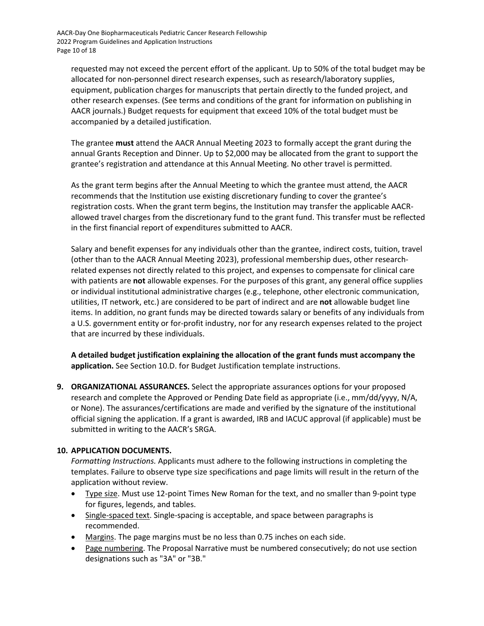requested may not exceed the percent effort of the applicant. Up to 50% of the total budget may be allocated for non-personnel direct research expenses, such as research/laboratory supplies, equipment, publication charges for manuscripts that pertain directly to the funded project, and other research expenses. (See terms and conditions of the grant for information on publishing in AACR journals.) Budget requests for equipment that exceed 10% of the total budget must be accompanied by a detailed justification.

The grantee **must** attend the AACR Annual Meeting 2023 to formally accept the grant during the annual Grants Reception and Dinner. Up to \$2,000 may be allocated from the grant to support the grantee's registration and attendance at this Annual Meeting. No other travel is permitted.

As the grant term begins after the Annual Meeting to which the grantee must attend, the AACR recommends that the Institution use existing discretionary funding to cover the grantee's registration costs. When the grant term begins, the Institution may transfer the applicable AACRallowed travel charges from the discretionary fund to the grant fund. This transfer must be reflected in the first financial report of expenditures submitted to AACR.

Salary and benefit expenses for any individuals other than the grantee, indirect costs, tuition, travel (other than to the AACR Annual Meeting 2023), professional membership dues, other researchrelated expenses not directly related to this project, and expenses to compensate for clinical care with patients are **not** allowable expenses. For the purposes of this grant, any general office supplies or individual institutional administrative charges (e.g., telephone, other electronic communication, utilities, IT network, etc.) are considered to be part of indirect and are **not** allowable budget line items. In addition, no grant funds may be directed towards salary or benefits of any individuals from a U.S. government entity or for-profit industry, nor for any research expenses related to the project that are incurred by these individuals.

**A detailed budget justification explaining the allocation of the grant funds must accompany the application.** See Section 10.D. for Budget Justification template instructions.

**9. ORGANIZATIONAL ASSURANCES.** Select the appropriate assurances options for your proposed research and complete the Approved or Pending Date field as appropriate (i.e., mm/dd/yyyy, N/A, or None). The assurances/certifications are made and verified by the signature of the institutional official signing the application. If a grant is awarded, IRB and IACUC approval (if applicable) must be submitted in writing to the AACR's SRGA.

# **10. APPLICATION DOCUMENTS.**

*Formatting Instructions.* Applicants must adhere to the following instructions in completing the templates. Failure to observe type size specifications and page limits will result in the return of the application without review.

- Type size. Must use 12-point Times New Roman for the text, and no smaller than 9-point type for figures, legends, and tables.
- Single-spaced text. Single-spacing is acceptable, and space between paragraphs is recommended.
- Margins. The page margins must be no less than 0.75 inches on each side.
- Page numbering. The Proposal Narrative must be numbered consecutively; do not use section designations such as "3A" or "3B."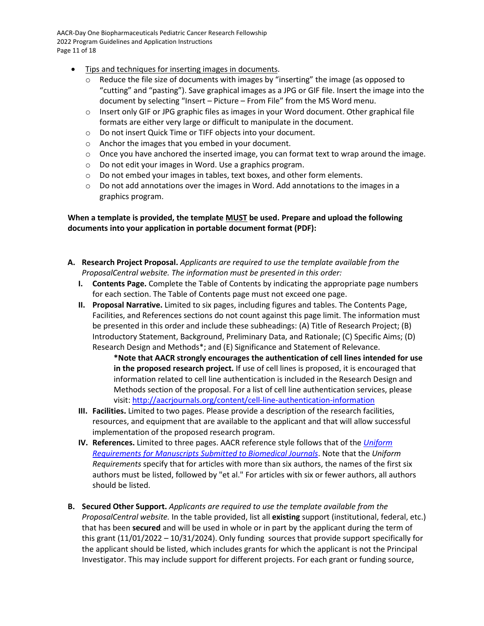AACR-Day One Biopharmaceuticals Pediatric Cancer Research Fellowship 2022 Program Guidelines and Application Instructions Page 11 of 18

- Tips and techniques for inserting images in documents.
	- $\circ$  Reduce the file size of documents with images by "inserting" the image (as opposed to "cutting" and "pasting"). Save graphical images as a JPG or GIF file. Insert the image into the document by selecting "Insert – Picture – From File" from the MS Word menu.
	- o Insert only GIF or JPG graphic files as images in your Word document. Other graphical file formats are either very large or difficult to manipulate in the document.
	- o Do not insert Quick Time or TIFF objects into your document.
	- o Anchor the images that you embed in your document.
	- $\circ$  Once you have anchored the inserted image, you can format text to wrap around the image.
	- o Do not edit your images in Word. Use a graphics program.
	- $\circ$  Do not embed your images in tables, text boxes, and other form elements.
	- $\circ$  Do not add annotations over the images in Word. Add annotations to the images in a graphics program.

## **When a template is provided, the template MUST be used. Prepare and upload the following documents into your application in portable document format (PDF):**

- **A. Research Project Proposal.** *Applicants are required to use the template available from the ProposalCentral website. The information must be presented in this order:*
	- **I. Contents Page.** Complete the Table of Contents by indicating the appropriate page numbers for each section. The Table of Contents page must not exceed one page.
	- **II. Proposal Narrative.** Limited to six pages, including figures and tables. The Contents Page, Facilities, and References sections do not count against this page limit. The information must be presented in this order and include these subheadings: (A) Title of Research Project; (B) Introductory Statement, Background, Preliminary Data, and Rationale; (C) Specific Aims; (D) Research Design and Methods\*; and (E) Significance and Statement of Relevance.

**\*Note that AACR strongly encourages the authentication of cell lines intended for use in the proposed research project.** If use of cell lines is proposed, it is encouraged that information related to cell line authentication is included in the Research Design and Methods section of the proposal. For a list of cell line authentication services, please visit[: http://aacrjournals.org/content/cell-line-authentication-information](http://aacrjournals.org/content/cell-line-authentication-information)

- **III. Facilities.** Limited to two pages. Please provide a description of the research facilities, resources, and equipment that are available to the applicant and that will allow successful implementation of the proposed research program.
- **IV. References.** Limited to three pages. AACR reference style follows that of the *[Uniform](http://www.nlm.nih.gov/bsd/uniform_requirements.html)  [Requirements for Manuscripts Submitted to Biomedical Journals](http://www.nlm.nih.gov/bsd/uniform_requirements.html)*. Note that the *Uniform Requirements* specify that for articles with more than six authors, the names of the first six authors must be listed, followed by "et al." For articles with six or fewer authors, all authors should be listed.
- **B. Secured Other Support.** *Applicants are required to use the template available from the ProposalCentral website.* In the table provided, list all **existing** support (institutional, federal, etc.) that has been **secured** and will be used in whole or in part by the applicant during the term of this grant (11/01/2022 – 10/31/2024). Only funding sources that provide support specifically for the applicant should be listed, which includes grants for which the applicant is not the Principal Investigator. This may include support for different projects. For each grant or funding source,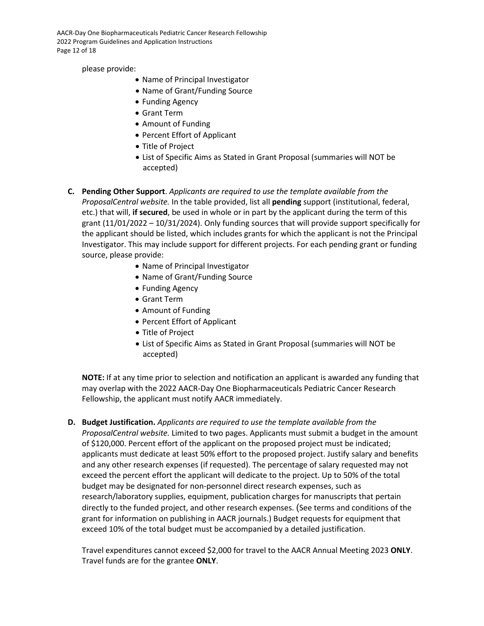AACR-Day One Biopharmaceuticals Pediatric Cancer Research Fellowship 2022 Program Guidelines and Application Instructions Page 12 of 18

please provide:

- Name of Principal Investigator
- Name of Grant/Funding Source
- Funding Agency
- Grant Term
- Amount of Funding
- Percent Effort of Applicant
- Title of Project
- List of Specific Aims as Stated in Grant Proposal (summaries will NOT be accepted)
- **C. Pending Other Support**. *Applicants are required to use the template available from the ProposalCentral website.* In the table provided, list all **pending** support (institutional, federal, etc.) that will, **if secured**, be used in whole or in part by the applicant during the term of this grant (11/01/2022 – 10/31/2024). Only funding sources that will provide support specifically for the applicant should be listed, which includes grants for which the applicant is not the Principal Investigator. This may include support for different projects. For each pending grant or funding source, please provide:
	- Name of Principal Investigator
	- Name of Grant/Funding Source
	- Funding Agency
	- Grant Term
	- Amount of Funding
	- Percent Effort of Applicant
	- Title of Project
	- List of Specific Aims as Stated in Grant Proposal (summaries will NOT be accepted)

**NOTE:** If at any time prior to selection and notification an applicant is awarded any funding that may overlap with the 2022 AACR-Day One Biopharmaceuticals Pediatric Cancer Research Fellowship, the applicant must notify AACR immediately.

**D. Budget Justification.** *Applicants are required to use the template available from the ProposalCentral website.* Limited to two pages. Applicants must submit a budget in the amount of \$120,000. Percent effort of the applicant on the proposed project must be indicated; applicants must dedicate at least 50% effort to the proposed project. Justify salary and benefits and any other research expenses (if requested). The percentage of salary requested may not exceed the percent effort the applicant will dedicate to the project. Up to 50% of the total budget may be designated for non-personnel direct research expenses, such as research/laboratory supplies, equipment, publication charges for manuscripts that pertain directly to the funded project, and other research expenses. (See terms and conditions of the grant for information on publishing in AACR journals.) Budget requests for equipment that exceed 10% of the total budget must be accompanied by a detailed justification.

Travel expenditures cannot exceed \$2,000 for travel to the AACR Annual Meeting 2023 **ONLY**. Travel funds are for the grantee **ONLY**.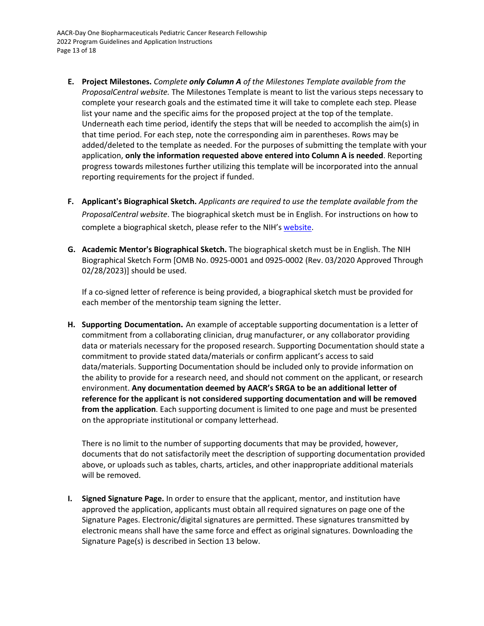- **E. Project Milestones.** *Complete only Column A of the Milestones Template available from the ProposalCentral website.* The Milestones Template is meant to list the various steps necessary to complete your research goals and the estimated time it will take to complete each step. Please list your name and the specific aims for the proposed project at the top of the template. Underneath each time period, identify the steps that will be needed to accomplish the aim(s) in that time period. For each step, note the corresponding aim in parentheses. Rows may be added/deleted to the template as needed. For the purposes of submitting the template with your application, **only the information requested above entered into Column A is needed**. Reporting progress towards milestones further utilizing this template will be incorporated into the annual reporting requirements for the project if funded.
- **F. Applicant's Biographical Sketch.** *Applicants are required to use the template available from the ProposalCentral website*. The biographical sketch must be in English. For instructions on how to complete a biographical sketch, please refer to the NIH's [website.](https://grants.nih.gov/grants/how-to-apply-application-guide/forms-f/general/g.240-r&r-seniorkey-person-profile-(expanded)-form.htm#Instructions)
- **G. Academic Mentor's Biographical Sketch.** The biographical sketch must be in English. The NIH Biographical Sketch Form [OMB No. 0925-0001 and 0925-0002 (Rev. 03/2020 Approved Through 02/28/2023)] should be used.

If a co-signed letter of reference is being provided, a biographical sketch must be provided for each member of the mentorship team signing the letter.

**H. Supporting Documentation.** An example of acceptable supporting documentation is a letter of commitment from a collaborating clinician, drug manufacturer, or any collaborator providing data or materials necessary for the proposed research. Supporting Documentation should state a commitment to provide stated data/materials or confirm applicant's access to said data/materials. Supporting Documentation should be included only to provide information on the ability to provide for a research need, and should not comment on the applicant, or research environment. **Any documentation deemed by AACR's SRGA to be an additional letter of reference for the applicant is not considered supporting documentation and will be removed from the application**. Each supporting document is limited to one page and must be presented on the appropriate institutional or company letterhead.

There is no limit to the number of supporting documents that may be provided, however, documents that do not satisfactorily meet the description of supporting documentation provided above, or uploads such as tables, charts, articles, and other inappropriate additional materials will be removed.

**I. Signed Signature Page.** In order to ensure that the applicant, mentor, and institution have approved the application, applicants must obtain all required signatures on page one of the Signature Pages. Electronic/digital signatures are permitted. These signatures transmitted by electronic means shall have the same force and effect as original signatures. Downloading the Signature Page(s) is described in Section 13 below.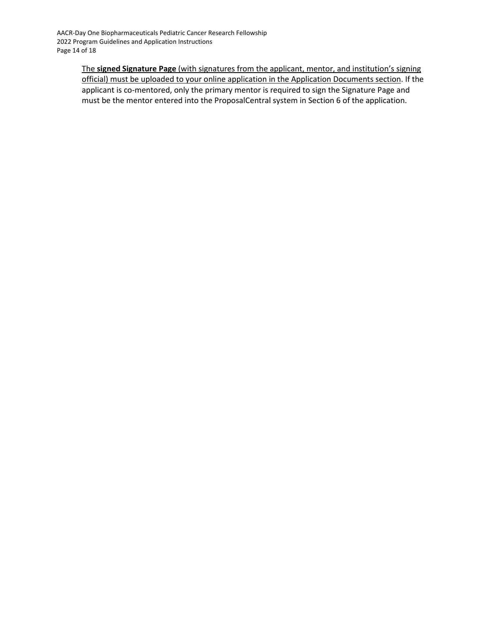The **signed Signature Page** (with signatures from the applicant, mentor, and institution's signing official) must be uploaded to your online application in the Application Documents section. If the applicant is co-mentored, only the primary mentor is required to sign the Signature Page and must be the mentor entered into the ProposalCentral system in Section 6 of the application.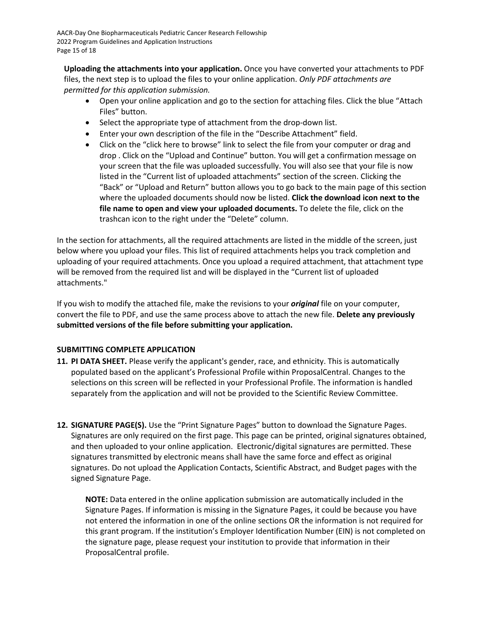**Uploading the attachments into your application.** Once you have converted your attachments to PDF files, the next step is to upload the files to your online application. *Only PDF attachments are permitted for this application submission.*

- Open your online application and go to the section for attaching files. Click the blue "Attach Files" button.
- Select the appropriate type of attachment from the drop-down list.
- Enter your own description of the file in the "Describe Attachment" field.
- Click on the "click here to browse" link to select the file from your computer or drag and drop . Click on the "Upload and Continue" button. You will get a confirmation message on your screen that the file was uploaded successfully. You will also see that your file is now listed in the "Current list of uploaded attachments" section of the screen. Clicking the "Back" or "Upload and Return" button allows you to go back to the main page of this section where the uploaded documents should now be listed. **Click the download icon next to the file name to open and view your uploaded documents.** To delete the file, click on the trashcan icon to the right under the "Delete" column.

In the section for attachments, all the required attachments are listed in the middle of the screen, just below where you upload your files. This list of required attachments helps you track completion and uploading of your required attachments. Once you upload a required attachment, that attachment type will be removed from the required list and will be displayed in the "Current list of uploaded attachments."

If you wish to modify the attached file, make the revisions to your *original* file on your computer, convert the file to PDF, and use the same process above to attach the new file. **Delete any previously submitted versions of the file before submitting your application.**

# <span id="page-14-0"></span>**SUBMITTING COMPLETE APPLICATION**

- **11. PI DATA SHEET.** Please verify the applicant's gender, race, and ethnicity. This is automatically populated based on the applicant's Professional Profile within ProposalCentral. Changes to the selections on this screen will be reflected in your Professional Profile. The information is handled separately from the application and will not be provided to the Scientific Review Committee.
- **12. SIGNATURE PAGE(S).** Use the "Print Signature Pages" button to download the Signature Pages. Signatures are only required on the first page. This page can be printed, original signatures obtained, and then uploaded to your online application. Electronic/digital signatures are permitted. These signatures transmitted by electronic means shall have the same force and effect as original signatures. Do not upload the Application Contacts, Scientific Abstract, and Budget pages with the signed Signature Page.

**NOTE:** Data entered in the online application submission are automatically included in the Signature Pages. If information is missing in the Signature Pages, it could be because you have not entered the information in one of the online sections OR the information is not required for this grant program. If the institution's Employer Identification Number (EIN) is not completed on the signature page, please request your institution to provide that information in their ProposalCentral profile.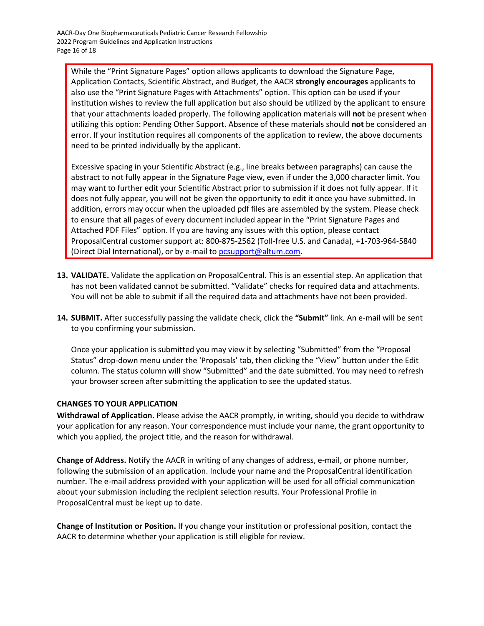While the "Print Signature Pages" option allows applicants to download the Signature Page, Application Contacts, Scientific Abstract, and Budget, the AACR **strongly encourages** applicants to also use the "Print Signature Pages with Attachments" option. This option can be used if your institution wishes to review the full application but also should be utilized by the applicant to ensure that your attachments loaded properly. The following application materials will **not** be present when utilizing this option: Pending Other Support. Absence of these materials should **not** be considered an error. If your institution requires all components of the application to review, the above documents need to be printed individually by the applicant.

Excessive spacing in your Scientific Abstract (e.g., line breaks between paragraphs) can cause the abstract to not fully appear in the Signature Page view, even if under the 3,000 character limit. You may want to further edit your Scientific Abstract prior to submission if it does not fully appear. If it does not fully appear, you will not be given the opportunity to edit it once you have submitted**.** In addition, errors may occur when the uploaded pdf files are assembled by the system. Please check to ensure that all pages of every document included appear in the "Print Signature Pages and Attached PDF Files" option. If you are having any issues with this option, please contact ProposalCentral customer support at: 800-875-2562 (Toll-free U.S. and Canada), +1-703-964-5840 (Direct Dial International), or by e-mail to [pcsupport@altum.com.](mailto:pcsupport@altum.com)

- **13. VALIDATE.** Validate the application on ProposalCentral. This is an essential step. An application that has not been validated cannot be submitted. "Validate" checks for required data and attachments. You will not be able to submit if all the required data and attachments have not been provided.
- **14. SUBMIT.** After successfully passing the validate check, click the **"Submit"** link. An e-mail will be sent to you confirming your submission.

Once your application is submitted you may view it by selecting "Submitted" from the "Proposal Status" drop-down menu under the 'Proposals' tab, then clicking the "View" button under the Edit column. The status column will show "Submitted" and the date submitted. You may need to refresh your browser screen after submitting the application to see the updated status.

# <span id="page-15-0"></span>**CHANGES TO YOUR APPLICATION**

**Withdrawal of Application.** Please advise the AACR promptly, in writing, should you decide to withdraw your application for any reason. Your correspondence must include your name, the grant opportunity to which you applied, the project title, and the reason for withdrawal.

**Change of Address.** Notify the AACR in writing of any changes of address, e-mail, or phone number, following the submission of an application. Include your name and the ProposalCentral identification number. The e-mail address provided with your application will be used for all official communication about your submission including the recipient selection results. Your Professional Profile in ProposalCentral must be kept up to date.

**Change of Institution or Position.** If you change your institution or professional position, contact the AACR to determine whether your application is still eligible for review.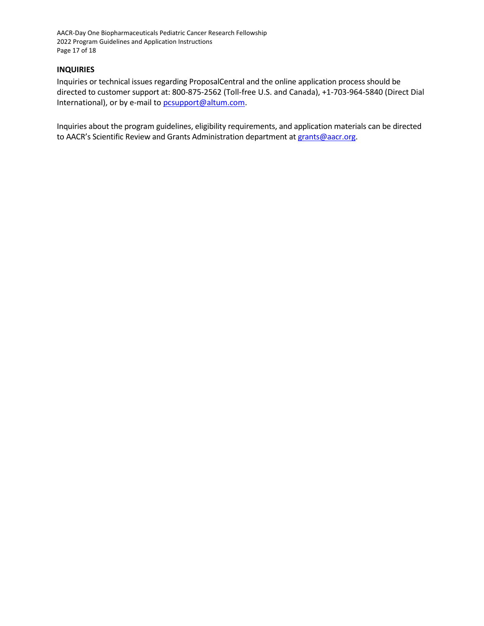AACR-Day One Biopharmaceuticals Pediatric Cancer Research Fellowship 2022 Program Guidelines and Application Instructions Page 17 of 18

#### <span id="page-16-0"></span>**INQUIRIES**

Inquiries or technical issues regarding ProposalCentral and the online application process should be directed to customer support at: 800-875-2562 (Toll-free U.S. and Canada), +1-703-964-5840 (Direct Dial International), or by e-mail to [pcsupport@altum.com.](mailto:pcsupport@altum.com)

Inquiries about the program guidelines, eligibility requirements, and application materials can be directed to AACR's Scientific Review and Grants Administration department at [grants@aacr.org.](mailto:grants@aacr.org)